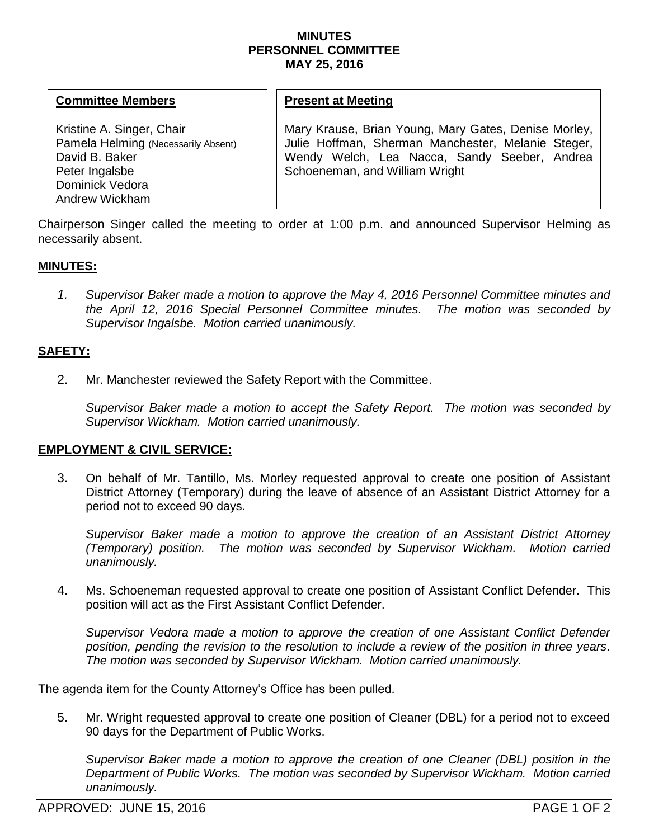### **MINUTES PERSONNEL COMMITTEE MAY 25, 2016**

#### **Committee Members**

Kristine A. Singer, Chair Pamela Helming (Necessarily Absent) David B. Baker Peter Ingalsbe Dominick Vedora Andrew Wickham

## **Present at Meeting**

Mary Krause, Brian Young, Mary Gates, Denise Morley, Julie Hoffman, Sherman Manchester, Melanie Steger, Wendy Welch, Lea Nacca, Sandy Seeber, Andrea Schoeneman, and William Wright

Chairperson Singer called the meeting to order at 1:00 p.m. and announced Supervisor Helming as necessarily absent.

### **MINUTES:**

*1. Supervisor Baker made a motion to approve the May 4, 2016 Personnel Committee minutes and the April 12, 2016 Special Personnel Committee minutes. The motion was seconded by Supervisor Ingalsbe. Motion carried unanimously.*

## **SAFETY:**

2. Mr. Manchester reviewed the Safety Report with the Committee.

*Supervisor Baker made a motion to accept the Safety Report. The motion was seconded by Supervisor Wickham. Motion carried unanimously.* 

### **EMPLOYMENT & CIVIL SERVICE:**

3. On behalf of Mr. Tantillo, Ms. Morley requested approval to create one position of Assistant District Attorney (Temporary) during the leave of absence of an Assistant District Attorney for a period not to exceed 90 days.

*Supervisor Baker made a motion to approve the creation of an Assistant District Attorney (Temporary) position. The motion was seconded by Supervisor Wickham. Motion carried unanimously.*

4. Ms. Schoeneman requested approval to create one position of Assistant Conflict Defender. This position will act as the First Assistant Conflict Defender.

*Supervisor Vedora made a motion to approve the creation of one Assistant Conflict Defender position, pending the revision to the resolution to include a review of the position in three years. The motion was seconded by Supervisor Wickham. Motion carried unanimously.* 

The agenda item for the County Attorney's Office has been pulled.

5. Mr. Wright requested approval to create one position of Cleaner (DBL) for a period not to exceed 90 days for the Department of Public Works.

*Supervisor Baker made a motion to approve the creation of one Cleaner (DBL) position in the Department of Public Works. The motion was seconded by Supervisor Wickham. Motion carried unanimously.*